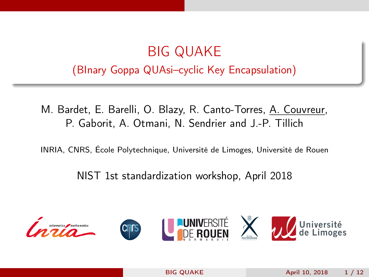## <span id="page-0-0"></span>BIG QUAKE (BInary Goppa QUAsi–cyclic Key Encapsulation)

M. Bardet, E. Barelli, O. Blazy, R. Canto-Torres, A. Couvreur, P. Gaborit, A. Otmani, N. Sendrier and J.-P. Tillich

INRIA, CNRS, École Polytechnique, Université de Limoges, Université de Rouen

NIST 1st standardization workshop, April 2018

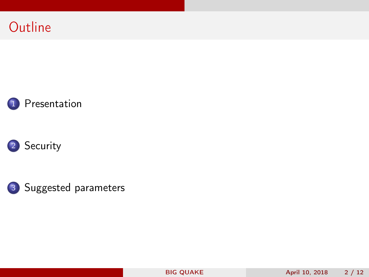







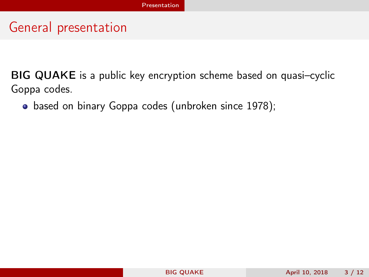<span id="page-2-0"></span>BIG QUAKE is a public key encryption scheme based on quasi–cyclic Goppa codes.

• based on binary Goppa codes (unbroken since 1978);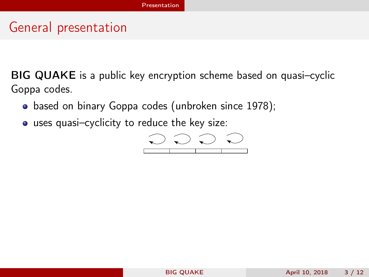<span id="page-3-0"></span>BIG QUAKE is a public key encryption scheme based on quasi–cyclic Goppa codes.

- based on binary Goppa codes (unbroken since 1978);
- uses quasi–cyclicity to reduce the key size:

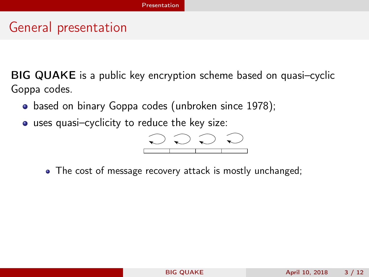<span id="page-4-0"></span>BIG QUAKE is a public key encryption scheme based on quasi–cyclic Goppa codes.

- based on binary Goppa codes (unbroken since 1978);
- uses quasi–cyclicity to reduce the key size:



• The cost of message recovery attack is mostly unchanged;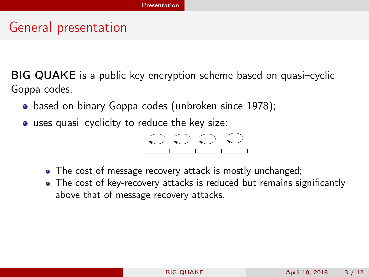<span id="page-5-0"></span>BIG QUAKE is a public key encryption scheme based on quasi–cyclic Goppa codes.

- based on binary Goppa codes (unbroken since 1978);
- uses quasi–cyclicity to reduce the key size:

$$
\begin{array}{|c|c|c|c|}\hline \multicolumn{3}{c|}{\textbf{0.00}} & \multicolumn{3}{c|}{\textbf{0.00}}\\ \hline \multicolumn{3}{c|}{\textbf{0.00}} & \multicolumn{3}{c|}{\textbf{0.00}}\\ \hline \multicolumn{3}{c|}{\textbf{0.00}} & \multicolumn{3}{c|}{\textbf{0.00}}\\ \hline \multicolumn{3}{c|}{\textbf{0.00}} & \multicolumn{3}{c|}{\textbf{0.00}}\\ \hline \multicolumn{3}{c|}{\textbf{0.00}} & \multicolumn{3}{c|}{\textbf{0.00}}\\ \hline \multicolumn{3}{c|}{\textbf{0.00}} & \multicolumn{3}{c|}{\textbf{0.00}}\\ \hline \multicolumn{3}{c|}{\textbf{0.00}} & \multicolumn{3}{c|}{\textbf{0.00}}\\ \hline \multicolumn{3}{c|}{\textbf{0.00}} & \multicolumn{3}{c|}{\textbf{0.00}}\\ \hline \multicolumn{3}{c|}{\textbf{0.00}} & \multicolumn{3}{c|}{\textbf{0.00}}\\ \hline \multicolumn{3}{c|}{\textbf{0.00}} & \multicolumn{3}{c|}{\textbf{0.00}}\\ \hline \multicolumn{3}{c|}{\textbf{0.00}} & \multicolumn{3}{c|}{\textbf{0.00}}\\ \hline \multicolumn{3}{c|}{\textbf{0.00}} & \multicolumn{3}{c|}{\textbf{0.00}}\\ \hline \multicolumn{3}{c|}{\textbf{0.00}} & \multicolumn{3}{c|}{\textbf{0.00}}\\ \hline \multicolumn{3}{c|}{\textbf{0.00}} & \multicolumn{3}{c|}{\textbf{0.00}}\\ \hline \multicolumn{3}{c|}{\textbf{0.00}} & \multicolumn{3}{c|}{\textbf{0.00}}\\ \hline \multicolumn{3}{c|}{\textbf{0.00}} & \multicolumn{3}{c|}{\textbf{0.00}}\\ \hline \multicolumn{3}{c|}{\textbf{0.00}} & \multicolumn{3}{c|}{\textbf{0.00}}\\ \hline \multicolumn{3}{c|}{\text
$$

- The cost of message recovery attack is mostly unchanged;
- The cost of key-recovery attacks is reduced but remains significantly above that of message recovery attacks.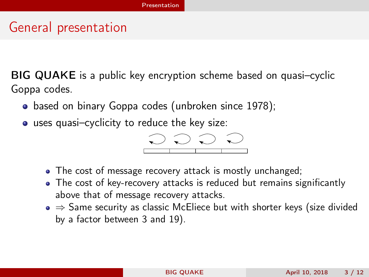<span id="page-6-0"></span>BIG QUAKE is a public key encryption scheme based on quasi–cyclic Goppa codes.

- based on binary Goppa codes (unbroken since 1978);
- uses quasi–cyclicity to reduce the key size:

$$
\begin{array}{|c|c|c|c|}\hline \multicolumn{3}{c|}{\textbf{0.00}} & \multicolumn{3}{c|}{\textbf{0.00}}\\ \hline \multicolumn{3}{c|}{\textbf{0.00}} & \multicolumn{3}{c|}{\textbf{0.00}}\\ \hline \multicolumn{3}{c|}{\textbf{0.00}} & \multicolumn{3}{c|}{\textbf{0.00}}\\ \hline \multicolumn{3}{c|}{\textbf{0.00}} & \multicolumn{3}{c|}{\textbf{0.00}}\\ \hline \multicolumn{3}{c|}{\textbf{0.00}} & \multicolumn{3}{c|}{\textbf{0.00}}\\ \hline \multicolumn{3}{c|}{\textbf{0.00}} & \multicolumn{3}{c|}{\textbf{0.00}}\\ \hline \multicolumn{3}{c|}{\textbf{0.00}} & \multicolumn{3}{c|}{\textbf{0.00}}\\ \hline \multicolumn{3}{c|}{\textbf{0.00}} & \multicolumn{3}{c|}{\textbf{0.00}}\\ \hline \multicolumn{3}{c|}{\textbf{0.00}} & \multicolumn{3}{c|}{\textbf{0.00}}\\ \hline \multicolumn{3}{c|}{\textbf{0.00}} & \multicolumn{3}{c|}{\textbf{0.00}}\\ \hline \multicolumn{3}{c|}{\textbf{0.00}} & \multicolumn{3}{c|}{\textbf{0.00}}\\ \hline \multicolumn{3}{c|}{\textbf{0.00}} & \multicolumn{3}{c|}{\textbf{0.00}}\\ \hline \multicolumn{3}{c|}{\textbf{0.00}} & \multicolumn{3}{c|}{\textbf{0.00}}\\ \hline \multicolumn{3}{c|}{\textbf{0.00}} & \multicolumn{3}{c|}{\textbf{0.00}}\\ \hline \multicolumn{3}{c|}{\textbf{0.00}} & \multicolumn{3}{c|}{\textbf{0.00}}\\ \hline \multicolumn{3}{c|}{\textbf{0.00}} & \multicolumn{3}{c|}{\textbf{0.00}}\\ \hline \multicolumn{3}{c|}{\textbf{0.00}} & \multicolumn{3}{c|}{\textbf{0.00}}\\ \hline \multicolumn{3}{c|}{\text
$$

- The cost of message recovery attack is mostly unchanged;
- The cost of key-recovery attacks is reduced but remains significantly above that of message recovery attacks.
- $\bullet \Rightarrow$  Same security as classic McEliece but with shorter keys (size divided by a factor between 3 and 19).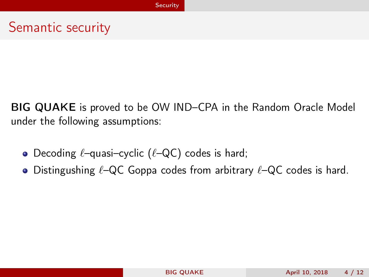#### <span id="page-7-0"></span>Semantic security

BIG QUAKE is proved to be OW IND–CPA in the Random Oracle Model under the following assumptions:

- Decoding  $\ell$ –quasi–cyclic ( $\ell$ –QC) codes is hard;
- Distingushing  $\ell$ –QC Goppa codes from arbitrary  $\ell$ –QC codes is hard.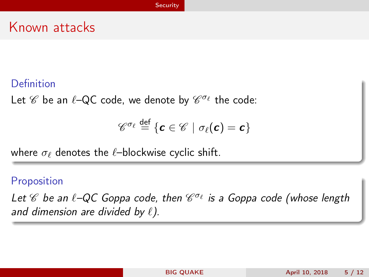#### <span id="page-8-0"></span>Known attacks

#### Definition

Let  $\mathscr C$  be an  $\ell$ –QC code, we denote by  $\mathscr C^{\sigma_\ell}$  the code:

$$
\mathscr{C}^{\sigma_\ell} \stackrel{\mathsf{def}}{=} \{\boldsymbol{\mathsf{c}}\in\mathscr{C}\,\,|\,\,\sigma_\ell(\boldsymbol{\mathsf{c}}) = \boldsymbol{\mathsf{c}}\}
$$

where  $\sigma_{\ell}$  denotes the  $\ell$ –blockwise cyclic shift.

#### Proposition

Let  $\mathscr C$  be an  $\ell$ -QC Goppa code, then  $\mathscr C^{\sigma_\ell}$  is a Goppa code (whose length and dimension are divided by  $\ell$ ).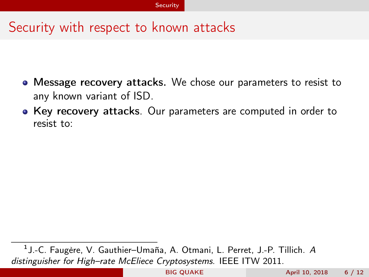- <span id="page-9-0"></span>Message recovery attacks. We chose our parameters to resist to any known variant of ISD.
- Key recovery attacks. Our parameters are computed in order to resist to:

<sup>1</sup> J.-C. Faugère, V. Gauthier–Umaña, A. Otmani, L. Perret, J.-P. Tillich. A distinguisher for High-rate McEliece Cryptosystems. IEEE ITW 2011.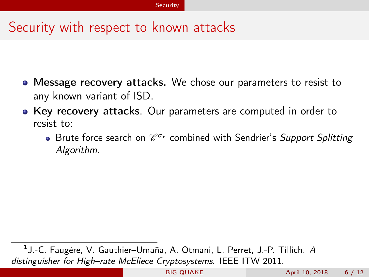- <span id="page-10-0"></span>Message recovery attacks. We chose our parameters to resist to any known variant of ISD.
- Key recovery attacks. Our parameters are computed in order to resist to:
	- Brute force search on  $\mathscr{C}^{\sigma_\ell}$  combined with Sendrier's Support Splitting Algorithm.

<sup>&</sup>lt;sup>1</sup> J.-C. Faugère, V. Gauthier–Umaña, A. Otmani, L. Perret, J.-P. Tillich. A distinguisher for High-rate McEliece Cryptosystems. IEEE ITW 2011.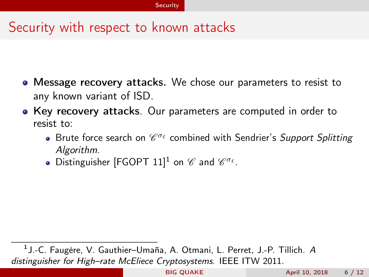- <span id="page-11-0"></span>Message recovery attacks. We chose our parameters to resist to any known variant of ISD.
- Key recovery attacks. Our parameters are computed in order to resist to:
	- Brute force search on  $\mathscr{C}^{\sigma_\ell}$  combined with Sendrier's Support Splitting Algorithm.
	- Distinguisher [FGOPT 11] $^1$  on  $\mathscr C$  and  $\mathscr C^{\sigma_\ell}.$

<sup>&</sup>lt;sup>1</sup> J.-C. Faugère, V. Gauthier–Umaña, A. Otmani, L. Perret, J.-P. Tillich. A distinguisher for High-rate McEliece Cryptosystems. IEEE ITW 2011.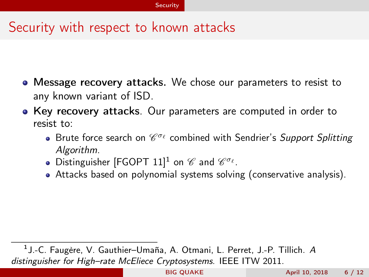- <span id="page-12-0"></span>Message recovery attacks. We chose our parameters to resist to any known variant of ISD.
- Key recovery attacks. Our parameters are computed in order to resist to:
	- Brute force search on  $\mathscr{C}^{\sigma_\ell}$  combined with Sendrier's Support Splitting Algorithm.
	- Distinguisher [FGOPT 11] $^1$  on  $\mathscr C$  and  $\mathscr C^{\sigma_\ell}.$
	- Attacks based on polynomial systems solving (conservative analysis).

<sup>&</sup>lt;sup>1</sup> J.-C. Faugère, V. Gauthier–Umaña, A. Otmani, L. Perret, J.-P. Tillich. A distinguisher for High-rate McEliece Cryptosystems. IEEE ITW 2011.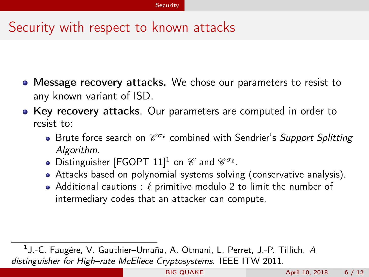- <span id="page-13-0"></span>Message recovery attacks. We chose our parameters to resist to any known variant of ISD.
- Key recovery attacks. Our parameters are computed in order to resist to:
	- Brute force search on  $\mathscr{C}^{\sigma_\ell}$  combined with Sendrier's Support Splitting Algorithm.
	- Distinguisher [FGOPT 11] $^1$  on  $\mathscr C$  and  $\mathscr C^{\sigma_\ell}.$
	- Attacks based on polynomial systems solving (conservative analysis).
	- Additional cautions :  $\ell$  primitive modulo 2 to limit the number of intermediary codes that an attacker can compute.

<sup>&</sup>lt;sup>1</sup> J.-C. Faugère, V. Gauthier–Umaña, A. Otmani, L. Perret, J.-P. Tillich. A distinguisher for High-rate McEliece Cryptosystems. IEEE ITW 2011.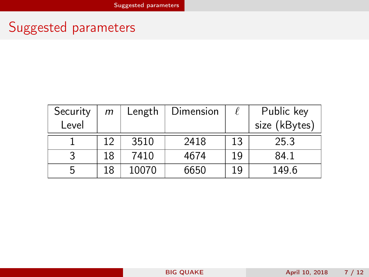# <span id="page-14-0"></span>Suggested parameters

| Security | m   | Length | Dimension |    | Public key    |
|----------|-----|--------|-----------|----|---------------|
| Level    |     |        |           |    | size (kBytes) |
|          | ר ו | 3510   | 2418      | 13 | 25.3          |
| 3        | 18  | 7410   | 4674      | 19 | 84.1          |
| 5        | 18  | 10070  | 6650      | 19 | 149.6         |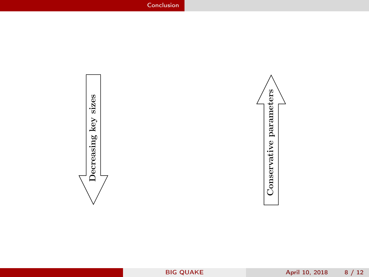<span id="page-15-0"></span>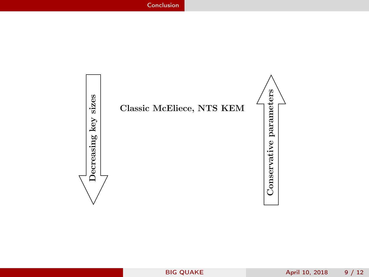<span id="page-16-0"></span>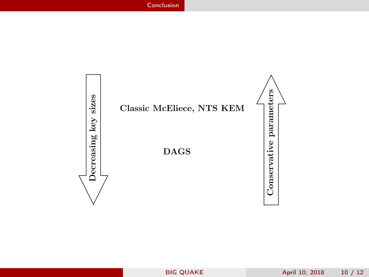<span id="page-17-0"></span>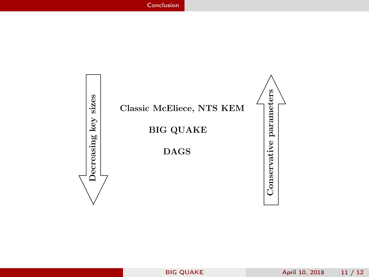<span id="page-18-0"></span>